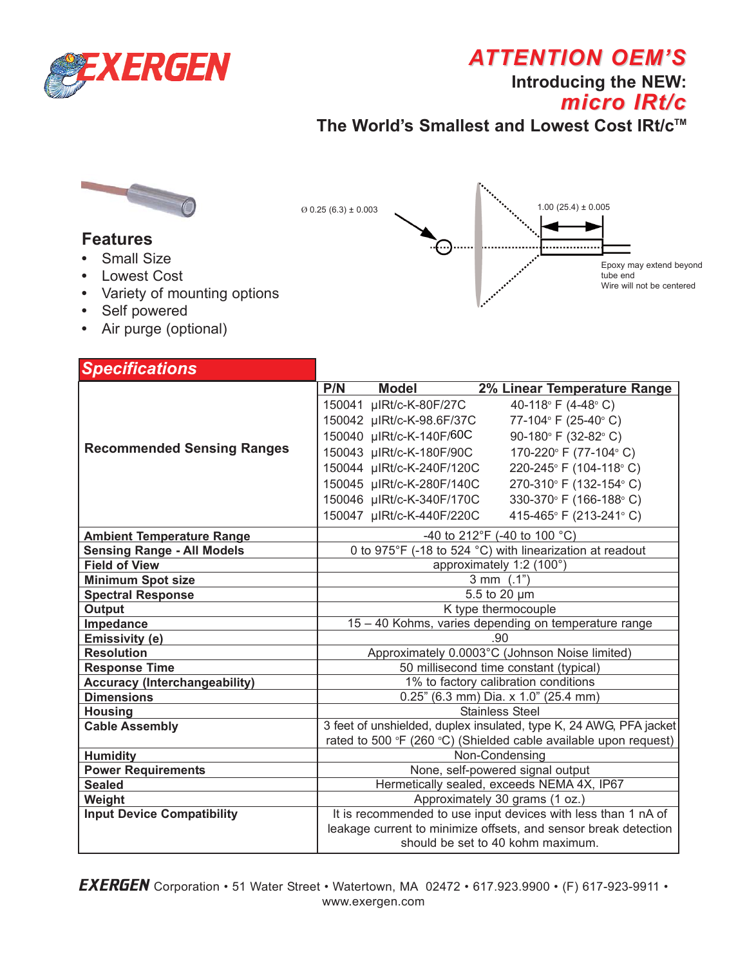

# **ATTENTION OEM'S**

**Introducing the NEW:**

# *micro IRt/c micro IRt/c*

The World's Smallest and Lowest Cost IRt/c<sup>™</sup>



### **Features**

- **•** Small Size
- **•** Lowest Cost
- **•** Variety of mounting options
- **•** Self powered
- **•** Air purge (optional)



| <b>Specifications</b>                |                                                                    |
|--------------------------------------|--------------------------------------------------------------------|
|                                      | P/N<br><b>Model</b><br>2% Linear Temperature Range                 |
|                                      | 40-118° F (4-48° C)<br>150041 µIRt/c-K-80F/27C                     |
|                                      | 150042 µIRt/c-K-98.6F/37C<br>77-104° F (25-40° C)                  |
| <b>Recommended Sensing Ranges</b>    | 150040 µIRt/c-K-140F/60C<br>90-180° F (32-82° C)                   |
|                                      | 150043 µIRt/c-K-180F/90C<br>170-220° F (77-104° C)                 |
|                                      | 150044 µIRt/c-K-240F/120C<br>220-245° F (104-118° C)               |
|                                      | 150045 µIRt/c-K-280F/140C<br>270-310° F (132-154° C)               |
|                                      | 150046 µIRt/c-K-340F/170C<br>330-370° F (166-188° C)               |
|                                      | 150047 µIRt/c-K-440F/220C<br>415-465° F (213-241° C)               |
| <b>Ambient Temperature Range</b>     | -40 to 212°F (-40 to 100 °C)                                       |
| <b>Sensing Range - All Models</b>    | 0 to 975°F (-18 to 524 °C) with linearization at readout           |
| <b>Field of View</b>                 | approximately 1:2 (100°)                                           |
| <b>Minimum Spot size</b>             | $3 \, \text{mm}$ (.1")                                             |
| <b>Spectral Response</b>             | 5.5 to 20 µm                                                       |
| Output                               | K type thermocouple                                                |
| Impedance                            | 15 - 40 Kohms, varies depending on temperature range               |
| Emissivity (e)                       | .90                                                                |
| <b>Resolution</b>                    | Approximately 0.0003°C (Johnson Noise limited)                     |
| <b>Response Time</b>                 | 50 millisecond time constant (typical)                             |
| <b>Accuracy (Interchangeability)</b> | 1% to factory calibration conditions                               |
| <b>Dimensions</b>                    | $0.25$ " (6.3 mm) Dia. x 1.0" (25.4 mm)                            |
| <b>Housing</b>                       | <b>Stainless Steel</b>                                             |
| <b>Cable Assembly</b>                | 3 feet of unshielded, duplex insulated, type K, 24 AWG, PFA jacket |
|                                      | rated to 500 °F (260 °C) (Shielded cable available upon request)   |
| <b>Humidity</b>                      | Non-Condensing                                                     |
| <b>Power Requirements</b>            | None, self-powered signal output                                   |
| <b>Sealed</b>                        | Hermetically sealed, exceeds NEMA 4X, IP67                         |
| Weight                               | Approximately 30 grams (1 oz.)                                     |
| <b>Input Device Compatibility</b>    | It is recommended to use input devices with less than 1 nA of      |
|                                      | leakage current to minimize offsets, and sensor break detection    |
|                                      | should be set to 40 kohm maximum.                                  |

EXERGEN Corporation • 51 Water Street • Watertown, MA 02472 • 617.923.9900 • (F) 617-923-9911 • www.exergen.com